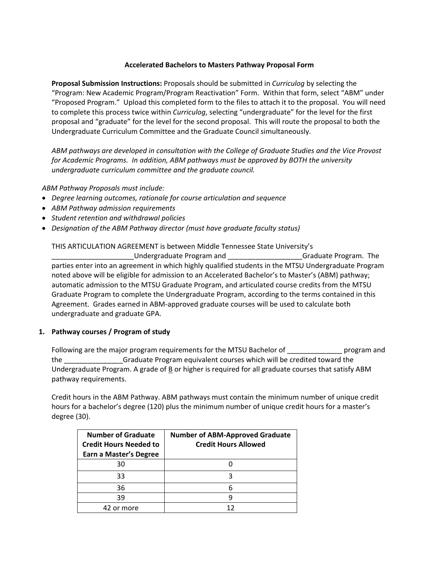## **Accelerated Bachelors to Masters Pathway Proposal Form**

**Proposal Submission Instructions:** Proposals should be submitted in *Curriculog* by selecting the "Program: New Academic Program/Program Reactivation" Form. Within that form, select "ABM" under "Proposed Program." Upload this completed form to the files to attach it to the proposal. You will need to complete this process twice within *Curriculog*, selecting "undergraduate" for the level for the first proposal and "graduate" for the level for the second proposal. This will route the proposal to both the Undergraduate Curriculum Committee and the Graduate Council simultaneously.

*ABM pathways are developed in consultation with the College of Graduate Studies and the Vice Provost for Academic Programs. In addition, ABM pathways must be approved by BOTH the university undergraduate curriculum committee and the graduate council.*

*ABM Pathway Proposals must include:*

- *Degree learning outcomes, rationale for course articulation and sequence*
- *ABM Pathway admission requirements*
- *Student retention and withdrawal policies*
- *Designation of the ABM Pathway director (must have graduate faculty status)*

THIS ARTICULATION AGREEMENT is between Middle Tennessee State University's

Undergraduate Program and **Example 20 Serverse Constructs** Graduate Program. The parties enter into an agreement in which highly qualified students in the MTSU Undergraduate Program noted above will be eligible for admission to an Accelerated Bachelor's to Master's (ABM) pathway; automatic admission to the MTSU Graduate Program, and articulated course credits from the MTSU Graduate Program to complete the Undergraduate Program, according to the terms contained in this Agreement. Grades earned in ABM-approved graduate courses will be used to calculate both undergraduate and graduate GPA.

#### **1. Pathway courses / Program of study**

Following are the major program requirements for the MTSU Bachelor of \_\_\_\_\_\_\_\_\_\_\_\_\_\_\_\_ program and the \_\_\_\_\_\_\_\_\_\_\_\_\_\_\_Graduate Program equivalent courses which will be credited toward the Undergraduate Program. A grade of  $\underline{B}$  or higher is required for all graduate courses that satisfy ABM pathway requirements.

Credit hours in the ABM Pathway. ABM pathways must contain the minimum number of unique credit hours for a bachelor's degree (120) plus the minimum number of unique credit hours for a master's degree (30).

| <b>Number of Graduate</b><br><b>Credit Hours Needed to</b><br>Earn a Master's Degree | <b>Number of ABM-Approved Graduate</b><br><b>Credit Hours Allowed</b> |
|--------------------------------------------------------------------------------------|-----------------------------------------------------------------------|
| 30                                                                                   |                                                                       |
| 33                                                                                   |                                                                       |
| 36                                                                                   | 6                                                                     |
| 39                                                                                   |                                                                       |
| 42 or more                                                                           | 1 ว                                                                   |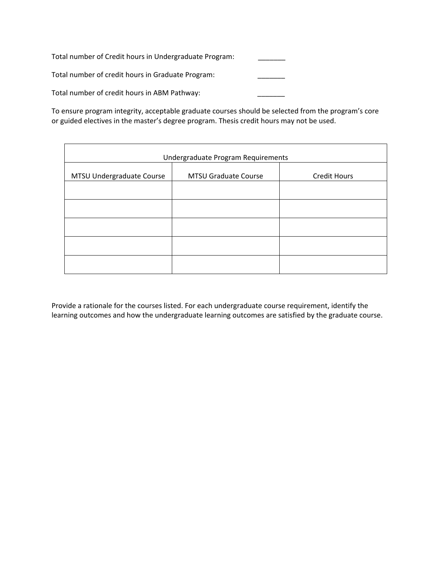Total number of Credit hours in Undergraduate Program: \_\_\_\_\_\_\_ Total number of credit hours in Graduate Program: \_\_\_\_\_\_\_ Total number of credit hours in ABM Pathway:

To ensure program integrity, acceptable graduate courses should be selected from the program's core or guided electives in the master's degree program. Thesis credit hours may not be used.

| Undergraduate Program Requirements |                             |                     |  |
|------------------------------------|-----------------------------|---------------------|--|
| MTSU Undergraduate Course          | <b>MTSU Graduate Course</b> | <b>Credit Hours</b> |  |
|                                    |                             |                     |  |
|                                    |                             |                     |  |
|                                    |                             |                     |  |
|                                    |                             |                     |  |
|                                    |                             |                     |  |

Provide a rationale for the courses listed. For each undergraduate course requirement, identify the learning outcomes and how the undergraduate learning outcomes are satisfied by the graduate course.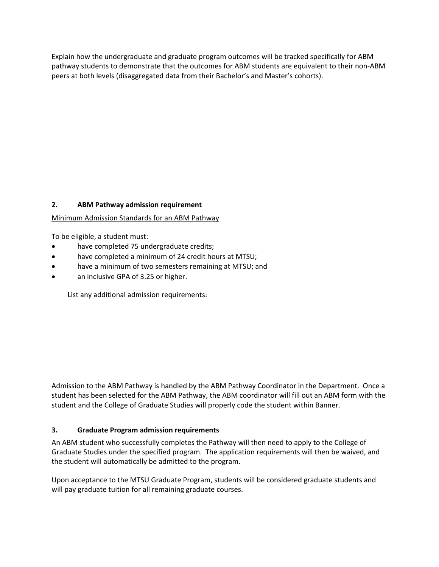Explain how the undergraduate and graduate program outcomes will be tracked specifically for ABM pathway students to demonstrate that the outcomes for ABM students are equivalent to their non-ABM peers at both levels (disaggregated data from their Bachelor's and Master's cohorts).

# **2. ABM Pathway admission requirement**

#### Minimum Admission Standards for an ABM Pathway

To be eligible, a student must:

- have completed 75 undergraduate credits;
- have completed a minimum of 24 credit hours at MTSU;
- have a minimum of two semesters remaining at MTSU; and
- an inclusive GPA of 3.25 or higher.

List any additional admission requirements:

Admission to the ABM Pathway is handled by the ABM Pathway Coordinator in the Department. Once a student has been selected for the ABM Pathway, the ABM coordinator will fill out an ABM form with the student and the College of Graduate Studies will properly code the student within Banner.

#### **3. Graduate Program admission requirements**

An ABM student who successfully completes the Pathway will then need to apply to the College of Graduate Studies under the specified program. The application requirements will then be waived, and the student will automatically be admitted to the program.

Upon acceptance to the MTSU Graduate Program, students will be considered graduate students and will pay graduate tuition for all remaining graduate courses.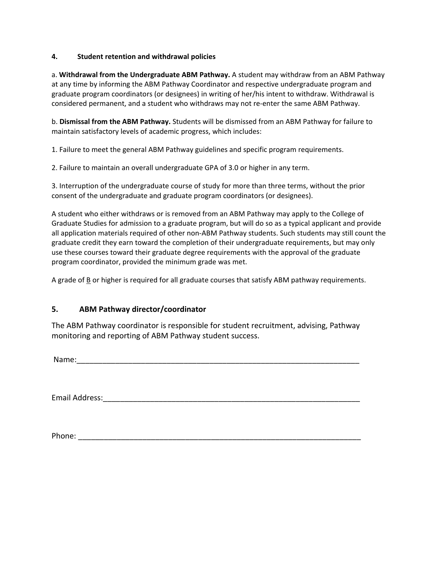## **4. Student retention and withdrawal policies**

a. **Withdrawal from the Undergraduate ABM Pathway.** A student may withdraw from an ABM Pathway at any time by informing the ABM Pathway Coordinator and respective undergraduate program and graduate program coordinators (or designees) in writing of her/his intent to withdraw. Withdrawal is considered permanent, and a student who withdraws may not re-enter the same ABM Pathway.

b. **Dismissal from the ABM Pathway.** Students will be dismissed from an ABM Pathway for failure to maintain satisfactory levels of academic progress, which includes:

1. Failure to meet the general ABM Pathway guidelines and specific program requirements.

2. Failure to maintain an overall undergraduate GPA of 3.0 or higher in any term.

3. Interruption of the undergraduate course of study for more than three terms, without the prior consent of the undergraduate and graduate program coordinators (or designees).

A student who either withdraws or is removed from an ABM Pathway may apply to the College of Graduate Studies for admission to a graduate program, but will do so as a typical applicant and provide all application materials required of other non-ABM Pathway students. Such students may still count the graduate credit they earn toward the completion of their undergraduate requirements, but may only use these courses toward their graduate degree requirements with the approval of the graduate program coordinator, provided the minimum grade was met.

A grade of B or higher is required for all graduate courses that satisfy ABM pathway requirements.

# **5. ABM Pathway director/coordinator**

The ABM Pathway coordinator is responsible for student recruitment, advising, Pathway monitoring and reporting of ABM Pathway student success.

Name:

Email Address: with the state of the state of the state of the state of the state of the state of the state of

Phone: \_\_\_\_\_\_\_\_\_\_\_\_\_\_\_\_\_\_\_\_\_\_\_\_\_\_\_\_\_\_\_\_\_\_\_\_\_\_\_\_\_\_\_\_\_\_\_\_\_\_\_\_\_\_\_\_\_\_\_\_\_\_\_\_\_\_